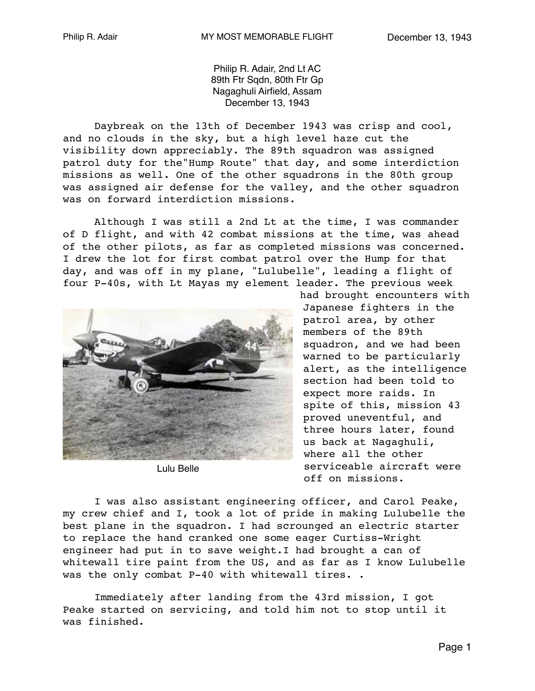Philip R. Adair, 2nd Lt AC 89th Ftr Sqdn, 80th Ftr Gp Nagaghuli Airfield, Assam December 13, 1943

Daybreak on the 13th of December 1943 was crisp and cool, and no clouds in the sky, but a high level haze cut the visibility down appreciably. The 89th squadron was assigned patrol duty for the"Hump Route" that day, and some interdiction missions as well. One of the other squadrons in the 80th group was assigned air defense for the valley, and the other squadron was on forward interdiction missions.

Although I was still a 2nd Lt at the time, I was commander of D flight, and with 42 combat missions at the time, was ahead of the other pilots, as far as completed missions was concerned. I drew the lot for first combat patrol over the Hump for that day, and was off in my plane, "Lulubelle", leading a flight of four P-40s, with Lt Mayas my element leader. The previous week



Lulu Belle

had brought encounters with Japanese fighters in the patrol area, by other members of the 89th squadron, and we had been warned to be particularly alert, as the intelligence section had been told to expect more raids. In spite of this, mission 43 proved uneventful, and three hours later, found us back at Nagaghuli, where all the other serviceable aircraft were off on missions.

I was also assistant engineering officer, and Carol Peake, my crew chief and I, took a lot of pride in making Lulubelle the best plane in the squadron. I had scrounged an electric starter to replace the hand cranked one some eager Curtiss-Wright engineer had put in to save weight.I had brought a can of whitewall tire paint from the US, and as far as I know Lulubelle was the only combat P-40 with whitewall tires. .

Immediately after landing from the 43rd mission, I got Peake started on servicing, and told him not to stop until it was finished.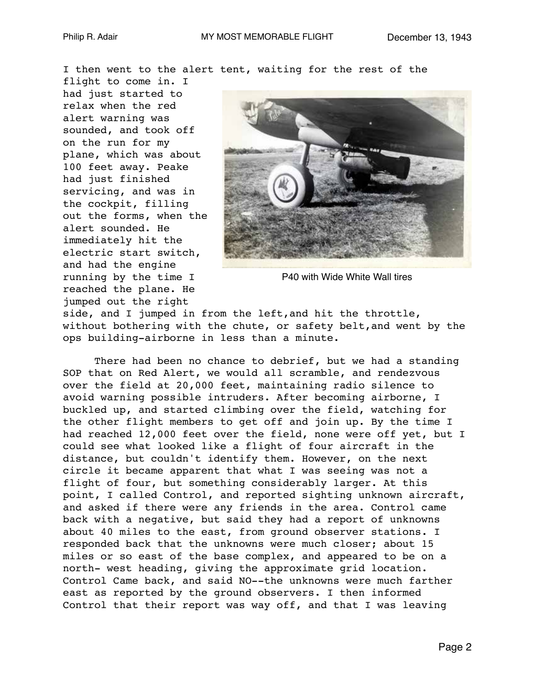I then went to the alert tent, waiting for the rest of the

flight to come in. I had just started to relax when the red alert warning was sounded, and took off on the run for my plane, which was about 100 feet away. Peake had just finished servicing, and was in the cockpit, filling out the forms, when the alert sounded. He immediately hit the electric start switch, and had the engine running by the time I reached the plane. He jumped out the right



P40 with Wide White Wall tires

side, and I jumped in from the left,and hit the throttle, without bothering with the chute, or safety belt,and went by the ops building-airborne in less than a minute.

There had been no chance to debrief, but we had a standing SOP that on Red Alert, we would all scramble, and rendezvous over the field at 20,000 feet, maintaining radio silence to avoid warning possible intruders. After becoming airborne, I buckled up, and started climbing over the field, watching for the other flight members to get off and join up. By the time I had reached 12,000 feet over the field, none were off yet, but I could see what looked like a flight of four aircraft in the distance, but couldn't identify them. However, on the next circle it became apparent that what I was seeing was not a flight of four, but something considerably larger. At this point, I called Control, and reported sighting unknown aircraft, and asked if there were any friends in the area. Control came back with a negative, but said they had a report of unknowns about 40 miles to the east, from ground observer stations. I responded back that the unknowns were much closer; about 15 miles or so east of the base complex, and appeared to be on a north- west heading, giving the approximate grid location. Control Came back, and said NO--the unknowns were much farther east as reported by the ground observers. I then informed Control that their report was way off, and that I was leaving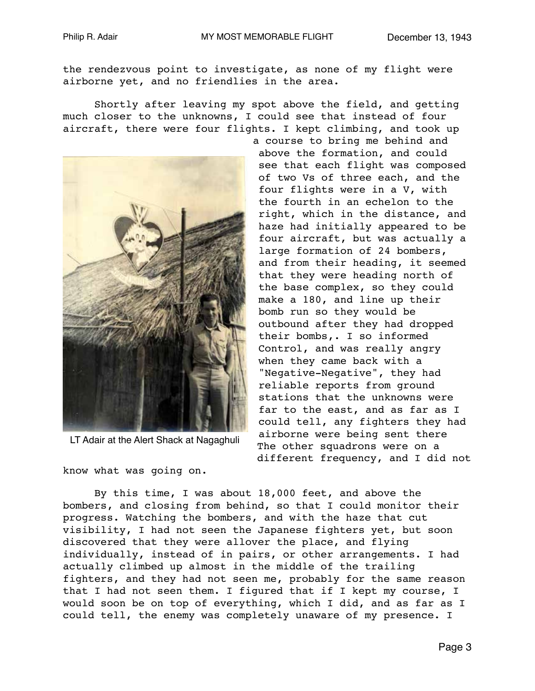the rendezvous point to investigate, as none of my flight were airborne yet, and no friendlies in the area.

Shortly after leaving my spot above the field, and getting much closer to the unknowns, I could see that instead of four aircraft, there were four flights. I kept climbing, and took up



LT Adair at the Alert Shack at Nagaghuli

know what was going on.

By this time, I was about 18,000 feet, and above the bombers, and closing from behind, so that I could monitor their progress. Watching the bombers, and with the haze that cut visibility, I had not seen the Japanese fighters yet, but soon discovered that they were allover the place, and flying individually, instead of in pairs, or other arrangements. I had actually climbed up almost in the middle of the trailing fighters, and they had not seen me, probably for the same reason that I had not seen them. I figured that if I kept my course, I would soon be on top of everything, which I did, and as far as I could tell, the enemy was completely unaware of my presence. I

a course to bring me behind and above the formation, and could see that each flight was composed of two Vs of three each, and the four flights were in a V, with the fourth in an echelon to the right, which in the distance, and haze had initially appeared to be four aircraft, but was actually a large formation of 24 bombers, and from their heading, it seemed that they were heading north of the base complex, so they could make a 180, and line up their bomb run so they would be outbound after they had dropped their bombs,. I so informed Control, and was really angry when they came back with a "Negative-Negative", they had reliable reports from ground stations that the unknowns were far to the east, and as far as I could tell, any fighters they had airborne were being sent there The other squadrons were on a different frequency, and I did not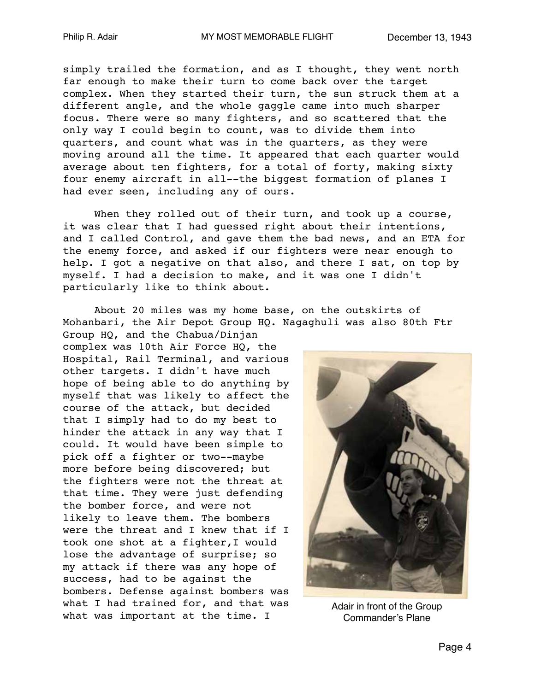simply trailed the formation, and as I thought, they went north far enough to make their turn to come back over the target complex. When they started their turn, the sun struck them at a different angle, and the whole gaggle came into much sharper focus. There were so many fighters, and so scattered that the only way I could begin to count, was to divide them into quarters, and count what was in the quarters, as they were moving around all the time. It appeared that each quarter would average about ten fighters, for a total of forty, making sixty four enemy aircraft in all--the biggest formation of planes I had ever seen, including any of ours.

When they rolled out of their turn, and took up a course, it was clear that I had guessed right about their intentions, and I called Control, and gave them the bad news, and an ETA for the enemy force, and asked if our fighters were near enough to help. I got a negative on that also, and there I sat, on top by myself. I had a decision to make, and it was one I didn't particularly like to think about.

About 20 miles was my home base, on the outskirts of Mohanbari, the Air Depot Group HQ. Nagaghuli was also 80th Ftr

Group HQ, and the Chabua/Dinjan complex was 10th Air Force HQ, the Hospital, Rail Terminal, and various other targets. I didn't have much hope of being able to do anything by myself that was likely to affect the course of the attack, but decided that I simply had to do my best to hinder the attack in any way that I could. It would have been simple to pick off a fighter or two--maybe more before being discovered; but the fighters were not the threat at that time. They were just defending the bomber force, and were not likely to leave them. The bombers were the threat and I knew that if I took one shot at a fighter,I would lose the advantage of surprise; so my attack if there was any hope of success, had to be against the bombers. Defense against bombers was what I had trained for, and that was what was important at the time. I



Adair in front of the Group Commander's Plane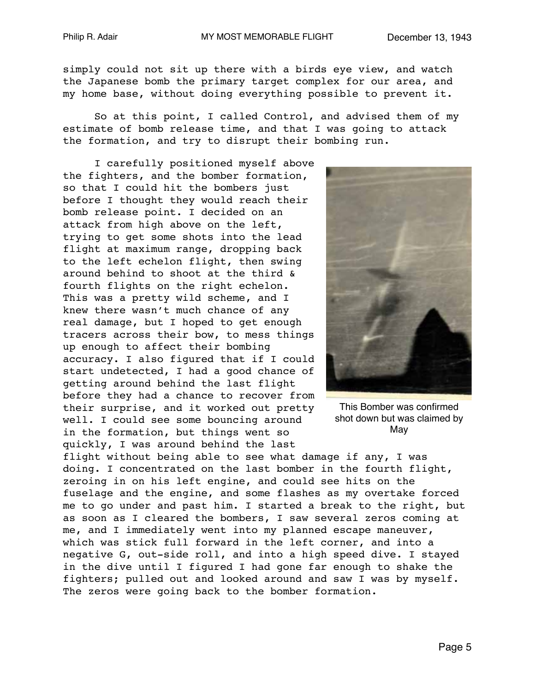simply could not sit up there with a birds eye view, and watch the Japanese bomb the primary target complex for our area, and my home base, without doing everything possible to prevent it.

So at this point, I called Control, and advised them of my estimate of bomb release time, and that I was going to attack the formation, and try to disrupt their bombing run.

I carefully positioned myself above the fighters, and the bomber formation, so that I could hit the bombers just before I thought they would reach their bomb release point. I decided on an attack from high above on the left, trying to get some shots into the lead flight at maximum range, dropping back to the left echelon flight, then swing around behind to shoot at the third & fourth flights on the right echelon. This was a pretty wild scheme, and I knew there wasn't much chance of any real damage, but I hoped to get enough tracers across their bow, to mess things up enough to affect their bombing accuracy. I also figured that if I could start undetected, I had a good chance of getting around behind the last flight before they had a chance to recover from their surprise, and it worked out pretty well. I could see some bouncing around in the formation, but things went so quickly, I was around behind the last



This Bomber was confirmed shot down but was claimed by May

flight without being able to see what damage if any, I was doing. I concentrated on the last bomber in the fourth flight, zeroing in on his left engine, and could see hits on the fuselage and the engine, and some flashes as my overtake forced me to go under and past him. I started a break to the right, but as soon as I cleared the bombers, I saw several zeros coming at me, and I immediately went into my planned escape maneuver, which was stick full forward in the left corner, and into a negative G, out-side roll, and into a high speed dive. I stayed in the dive until I figured I had gone far enough to shake the fighters; pulled out and looked around and saw I was by myself. The zeros were going back to the bomber formation.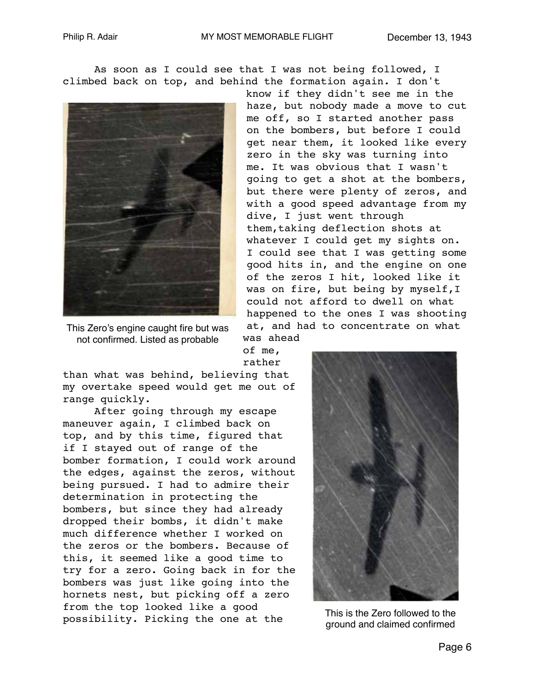As soon as I could see that I was not being followed, I climbed back on top, and behind the formation again. I don't



This Zero's engine caught fire but was not confirmed. Listed as probable

know if they didn't see me in the haze, but nobody made a move to cut me off, so I started another pass on the bombers, but before I could get near them, it looked like every zero in the sky was turning into me. It was obvious that I wasn't going to get a shot at the bombers, but there were plenty of zeros, and with a good speed advantage from my dive, I just went through them,taking deflection shots at whatever I could get my sights on. I could see that I was getting some good hits in, and the engine on one of the zeros I hit, looked like it was on fire, but being by myself,I could not afford to dwell on what happened to the ones I was shooting at, and had to concentrate on what

of me, rather

was ahead

than what was behind, believing that my overtake speed would get me out of range quickly.

After going through my escape maneuver again, I climbed back on top, and by this time, figured that if I stayed out of range of the bomber formation, I could work around the edges, against the zeros, without being pursued. I had to admire their determination in protecting the bombers, but since they had already dropped their bombs, it didn't make much difference whether I worked on the zeros or the bombers. Because of this, it seemed like a good time to try for a zero. Going back in for the bombers was just like going into the hornets nest, but picking off a zero from the top looked like a good possibility. Picking the one at the



This is the Zero followed to the ground and claimed confirmed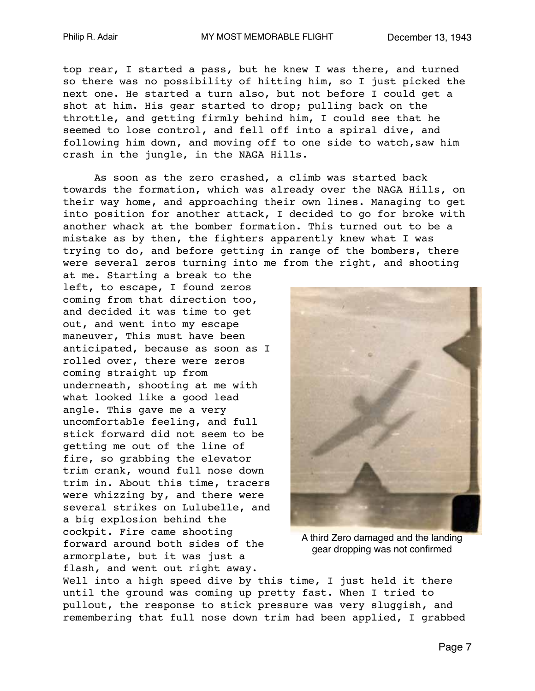top rear, I started a pass, but he knew I was there, and turned so there was no possibility of hitting him, so I just picked the next one. He started a turn also, but not before I could get a shot at him. His gear started to drop; pulling back on the throttle, and getting firmly behind him, I could see that he seemed to lose control, and fell off into a spiral dive, and following him down, and moving off to one side to watch,saw him crash in the jungle, in the NAGA Hills.

As soon as the zero crashed, a climb was started back towards the formation, which was already over the NAGA Hills, on their way home, and approaching their own lines. Managing to get into position for another attack, I decided to go for broke with another whack at the bomber formation. This turned out to be a mistake as by then, the fighters apparently knew what I was trying to do, and before getting in range of the bombers, there were several zeros turning into me from the right, and shooting

at me. Starting a break to the left, to escape, I found zeros coming from that direction too, and decided it was time to get out, and went into my escape maneuver, This must have been anticipated, because as soon as I rolled over, there were zeros coming straight up from underneath, shooting at me with what looked like a good lead angle. This gave me a very uncomfortable feeling, and full stick forward did not seem to be getting me out of the line of fire, so grabbing the elevator trim crank, wound full nose down trim in. About this time, tracers were whizzing by, and there were several strikes on Lulubelle, and a big explosion behind the cockpit. Fire came shooting forward around both sides of the armorplate, but it was just a flash, and went out right away.



A third Zero damaged and the landing gear dropping was not confirmed

Well into a high speed dive by this time, I just held it there until the ground was coming up pretty fast. When I tried to pullout, the response to stick pressure was very sluggish, and remembering that full nose down trim had been applied, I grabbed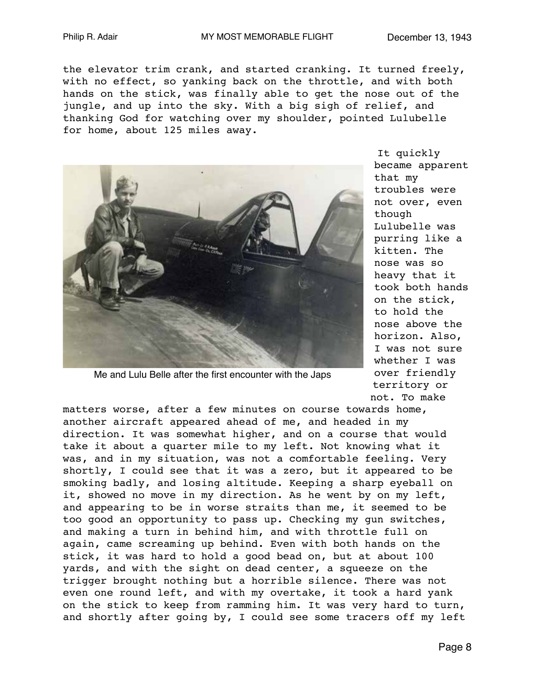the elevator trim crank, and started cranking. It turned freely, with no effect, so yanking back on the throttle, and with both hands on the stick, was finally able to get the nose out of the jungle, and up into the sky. With a big sigh of relief, and thanking God for watching over my shoulder, pointed Lulubelle for home, about 125 miles away.



Me and Lulu Belle after the first encounter with the Japs

It quickly became apparent that my troubles were not over, even though Lulubelle was purring like a kitten. The nose was so heavy that it took both hands on the stick, to hold the nose above the horizon. Also, I was not sure whether I was over friendly territory or not. To make

matters worse, after a few minutes on course towards home, another aircraft appeared ahead of me, and headed in my direction. It was somewhat higher, and on a course that would take it about a quarter mile to my left. Not knowing what it was, and in my situation, was not a comfortable feeling. Very shortly, I could see that it was a zero, but it appeared to be smoking badly, and losing altitude. Keeping a sharp eyeball on it, showed no move in my direction. As he went by on my left, and appearing to be in worse straits than me, it seemed to be too good an opportunity to pass up. Checking my gun switches, and making a turn in behind him, and with throttle full on again, came screaming up behind. Even with both hands on the stick, it was hard to hold a good bead on, but at about 100 yards, and with the sight on dead center, a squeeze on the trigger brought nothing but a horrible silence. There was not even one round left, and with my overtake, it took a hard yank on the stick to keep from ramming him. It was very hard to turn, and shortly after going by, I could see some tracers off my left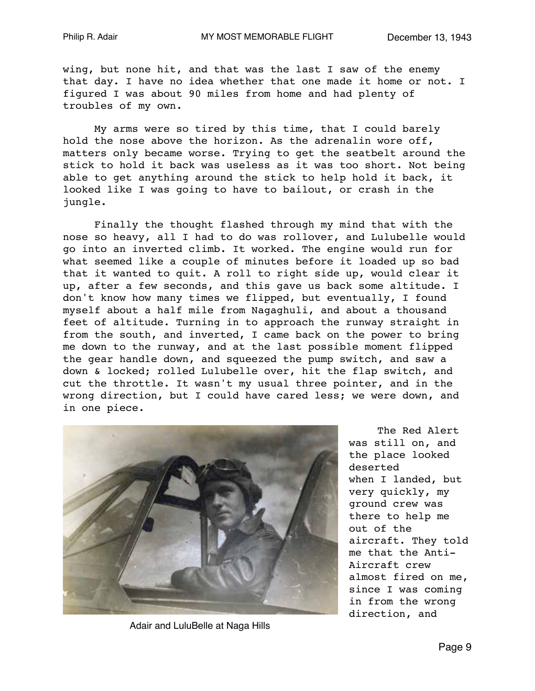wing, but none hit, and that was the last I saw of the enemy that day. I have no idea whether that one made it home or not. I figured I was about 90 miles from home and had plenty of troubles of my own.

My arms were so tired by this time, that I could barely hold the nose above the horizon. As the adrenalin wore off, matters only became worse. Trying to get the seatbelt around the stick to hold it back was useless as it was too short. Not being able to get anything around the stick to help hold it back, it looked like I was going to have to bailout, or crash in the jungle.

Finally the thought flashed through my mind that with the nose so heavy, all I had to do was rollover, and Lulubelle would go into an inverted climb. It worked. The engine would run for what seemed like a couple of minutes before it loaded up so bad that it wanted to quit. A roll to right side up, would clear it up, after a few seconds, and this gave us back some altitude. I don't know how many times we flipped, but eventually, I found myself about a half mile from Nagaghuli, and about a thousand feet of altitude. Turning in to approach the runway straight in from the south, and inverted, I came back on the power to bring me down to the runway, and at the last possible moment flipped the gear handle down, and squeezed the pump switch, and saw a down & locked; rolled Lulubelle over, hit the flap switch, and cut the throttle. It wasn't my usual three pointer, and in the wrong direction, but I could have cared less; we were down, and in one piece.



Adair and LuluBelle at Naga Hills

The Red Alert was still on, and the place looked deserted when I landed, but very quickly, my ground crew was there to help me out of the aircraft. They told me that the Anti-Aircraft crew almost fired on me, since I was coming in from the wrong direction, and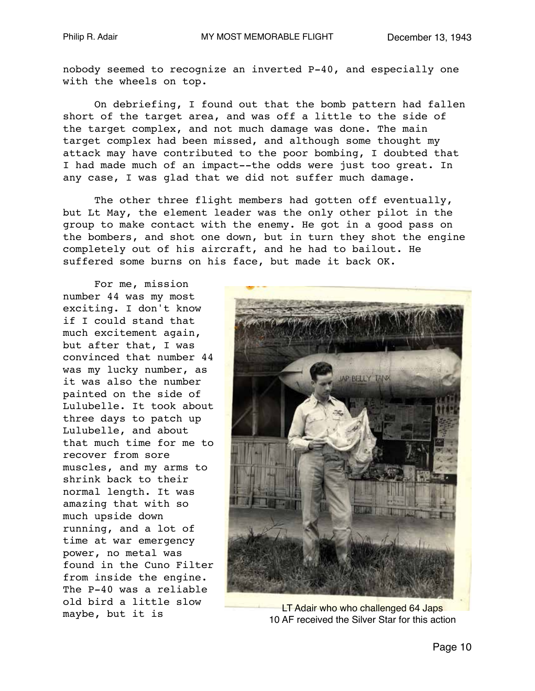nobody seemed to recognize an inverted P-40, and especially one with the wheels on top.

On debriefing, I found out that the bomb pattern had fallen short of the target area, and was off a little to the side of the target complex, and not much damage was done. The main target complex had been missed, and although some thought my attack may have contributed to the poor bombing, I doubted that I had made much of an impact--the odds were just too great. In any case, I was glad that we did not suffer much damage.

The other three flight members had gotten off eventually, but Lt May, the element leader was the only other pilot in the group to make contact with the enemy. He got in a good pass on the bombers, and shot one down, but in turn they shot the engine completely out of his aircraft, and he had to bailout. He suffered some burns on his face, but made it back OK.

For me, mission number 44 was my most exciting. I don't know if I could stand that much excitement again, but after that, I was convinced that number 44 was my lucky number, as it was also the number painted on the side of Lulubelle. It took about three days to patch up Lulubelle, and about that much time for me to recover from sore muscles, and my arms to shrink back to their normal length. It was amazing that with so much upside down running, and a lot of time at war emergency power, no metal was found in the Cuno Filter from inside the engine. The P-40 was a reliable old bird a little slow maybe, but it is



LT Adair who who challenged 64 Japs 10 AF received the Silver Star for this action